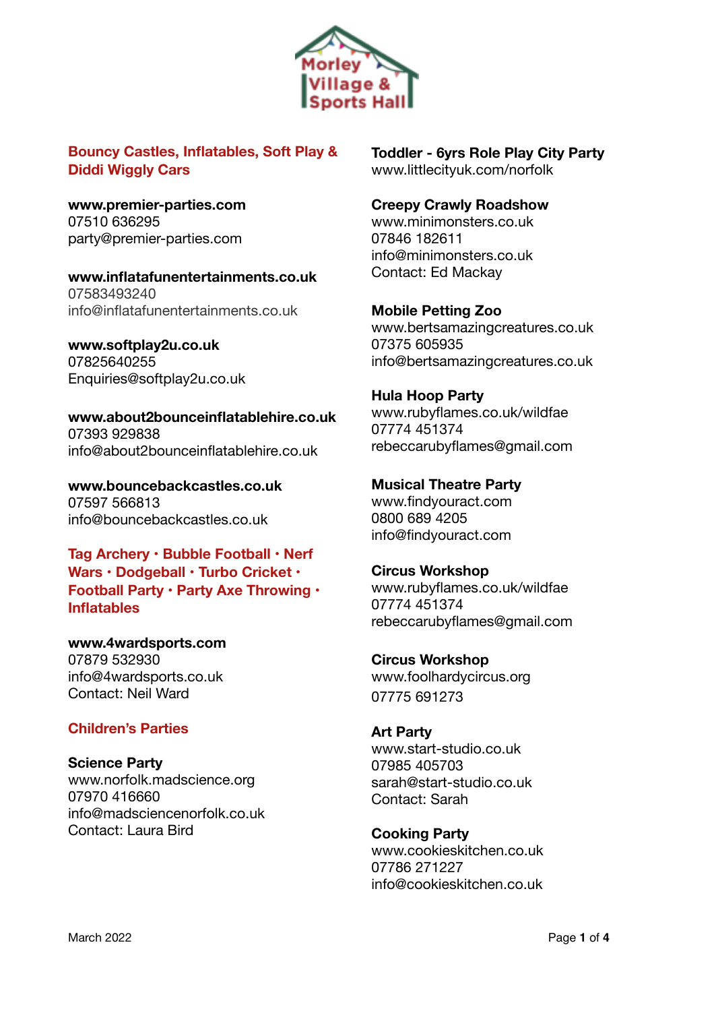

## **Bouncy Castles, Inflatables, Soft Play & Diddi Wiggly Cars**

**[www.premier-parties.com](http://www.premier-parties.com/)** 07510 636295 [party@premier-parties.com](mailto:party@premier-parties.com)

**[www.inflatafunentertainments.co.uk](http://www.inflatafunentertainments.co.uk)** 07583493240 [info@inflatafunentertainments.co.uk](mailto:info@inflatafunentertainments.co.uk)

**[www.softplay2u.co.uk](http://www.softplay2u.co.uk)** 07825640255 Enquiries@softplay2u.co.uk

**[www.about2bounceinflatablehire.co.uk](https://www.about2bounceinflatablehire.co.uk)** 07393 929838 info@about2bounceinflatablehire.co.uk

**[www.bouncebackcastles.co.uk](https://www.bouncebackcastles.co.uk/)** 07597 566813 [info@bouncebackcastles.co.uk](mailto:info@bouncebackcastles.co.uk)

**Tag Archery • Bubble Football • Nerf Wars • Dodgeball • Turbo Cricket • Football Party • Party Axe Throwing • Inflatables**

**[www.4wardsports.com](http://www.4wardsports.com)** 07879 532930 [info@4wardsports.co.uk](mailto:info@4wardsports.co.uk) Contact: Neil Ward

## **Children's Parties**

**Science Party** 

[www.norfolk.madscience.org](https://norfolk.madscience.org) 07970 416660 [info@madsciencenorfolk.co.uk](mailto:info@madsciencenorfolk.co.uk) Contact: Laura Bird

**Toddler - 6yrs Role Play City Party**  www.littlecityuk.com/norfolk

### **Creepy Crawly Roadshow**

[www.minimonsters.co.uk](http://www.minimonsters.co.uk/) 07846 182611 [info@minimonsters.co.uk](mailto:info@minimonsters.co.uk) Contact: Ed Mackay

**Mobile Petting Zoo** 

[www.bertsamazingcreatures.co.uk](https://www.bertsamazingcreatures.co.uk) 07375 605935 [info@bertsamazingcreatures.co.uk](mailto:info@bertsamazingcreatures.co.uk)

**Hula Hoop Party**  [www.rubyflames.co.uk/wildfae](http://www.rubyflames.co.uk/wildfae) 07774 451374 [rebeccarubyflames@gmail.com](mailto:rebeccarubyflames@gmail.com)

**Musical Theatre Party** [www.findyouract.com](http://www.findyouract.com) 0800 689 4205 [info@findyouract.com](mailto:info@findyouract.com)

**Circus Workshop**  [www.rubyflames.co.uk/wildfae](http://www.rubyflames.co.uk/wildfae) 07774 451374 [rebeccarubyflames@gmail.com](mailto:rebeccarubyflames@gmail.com)

**Circus Workshop**  [www.foolhardycircus.org](http://www.foolhardycircus.org) 07775 691273

**Art Party**  [www.start-studio.co.uk](http://www.start-studio.co.uk) 07985 405703 sarah@start-studio.co.uk Contact: Sarah

**Cooking Party** [www.cookieskitchen.co.uk](http://www.cookieskitchen.co.uk) 07786 271227 [info@cookieskitchen.co.uk](mailto:info@cookieskitchen.co.uk)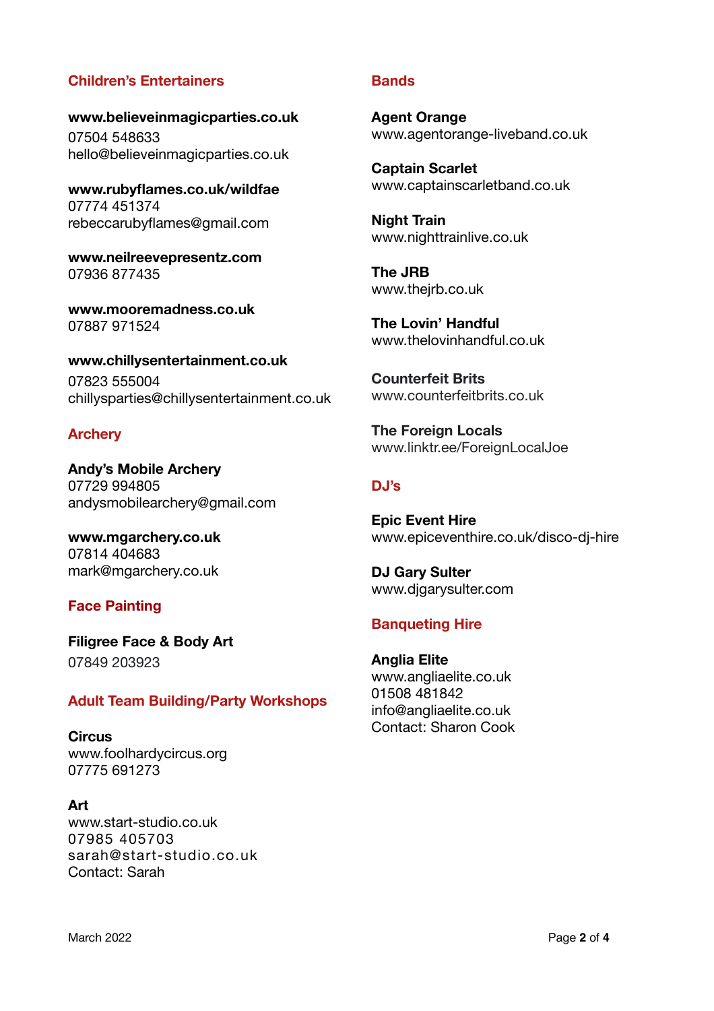## **Children's Entertainers**

**[www.believeinmagicparties.co.uk](http://www.believeinmagicparties.co.uk)** 07504 548633 [hello@believeinmagicparties.co.uk](mailto:hello@believeinmagicparties.co.uk)

**[www.rubyflames.co.uk/wildfae](http://www.rubyflames.co.uk/wildfae)** 07774 451374 [rebeccarubyflames@gmail.com](mailto:rebeccarubyflames@gmail.com)

**[www.neilreevepresentz.com](https://www.neilreevepresentz.com)** 07936 877435

**[www.mooremadness.co.uk](https://www.mooremadness.co.uk)** 07887 971524

**[www.chillysentertainment.co.uk](http://www.chillysentertainment.co.uk)** 07823 555004 [chillysparties@chillysentertainment.co.uk](mailto:chillysparties@chillysentertainment.co.uk)

### **Archery**

**Andy's Mobile Archery**  07729 994805 [andysmobilearchery@gmail.com](mailto:andysmobilearchery@gmail.com)

**[www.mgarchery.co.uk](http://www.mgarchery.co.uk)** 07814 404683 [mark@mgarchery.co.uk](mailto:mark@mgarchery.co.uk)

### **Face Painting**

**Filigree Face & Body Art**  07849 203923

### **Adult Team Building/Party Workshops**

**Circus** [www.foolhardycircus.org](http://www.foolhardycircus.org) 07775 691273

**Art**  [www.start-studio.co.uk](http://www.start-studio.co.uk) 07985 405703 sarah@start-studio.co.uk Contact: Sarah

#### **Bands**

**Agent Orange**  [www.agentorange-liveband.co.uk](http://www.agentorange-liveband.co.uk)

**Captain Scarlet**  [www.captainscarletband.co.uk](http://www.captainscarletband.co.uk)

**Night Train**  [www.nighttrainlive.co.uk](https://www.nighttrainlive.co.uk)

**The JRB**  [www.thejrb.co.uk](https://www.thejrb.co.uk)

**The Lovin' Handful**  [www.thelovinhandful.co.uk](http://thelovinhandful.co.uk)

**Counterfeit Brits**  www.[counterfeitbrits.co.uk](https://www.google.com/url?sa=t&rct=j&q=&esrc=s&source=web&cd=&ved=2ahUKEwiQn7itwd72AhXIasAKHX3WASYQFnoECAMQAQ&url=https%3A%2F%2Fcounterfeitbrits.co.uk%2F&usg=AOvVaw08Uj0JeHi7CjjinlywEPcV) 

**The Foreign Locals** www.linktr.ee/ForeignLocalJoe

### **DJ's**

**Epic Event Hire**  [www.epiceventhire.co.uk/disco-dj-hire](https://www.epiceventhire.co.uk/disco-dj-hire)

**DJ Gary Sulter**  [www.djgarysulter.com](http://djgarysulter.com)

### **Banqueting Hire**

**Anglia Elite** [www.angliaelite.co.uk](http://www.angliaelite.co.uk) 01508 481842 [info@angliaelite.co.uk](mailto:info@angliaelite.co.uk) Contact: Sharon Cook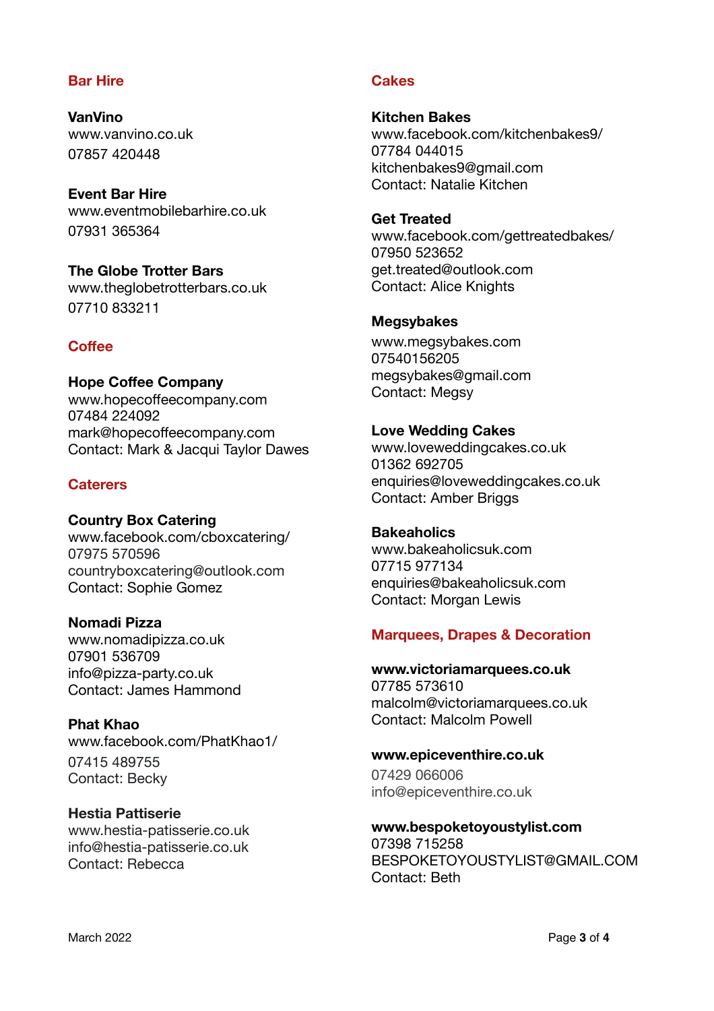## **Bar Hire**

**VanVino**  [www.vanvino.co.uk](https://vanvino.co.uk) 07857 420448

**Event Bar Hire**  [www.eventmobilebarhire.co.uk](http://www.eventmobilebarhire.co.uk) 07931 365364

**The Globe Trotter Bars**  www.theglobetrotterbars.co.uk 07710 833211

## **Coffee**

**Hope Coffee Company** www.hopecoff[eecompany.com](http://www.hopecoffeecompany.com) 07484 224092 mark@hopecoffeecompany.com Contact: Mark & Jacqui Taylor Dawes

### **Caterers**

**Country Box Catering** www.facebook.com/cboxcatering/ 07975 570596 countryboxcatering@outlook.com Contact: Sophie Gomez

# **Nomadi Pizza**

[www.nomadipizza.co.uk](https://www.nomadipizza.co.uk) 07901 536709 [info@pizza-party.co.uk](mailto:info@pizza-party.co.uk) Contact: James Hammond

### **Phat Khao**

[www.facebook.com/PhatKhao1/](https://www.facebook.com/PhatKhao1/) 07415 489755 Contact: Becky

## **Hestia Pattiserie**

[www.hestia-patisserie.co.uk](https://www.hestia-patisserie.co.uk) [info@hestia-patisserie.co.uk](mailto:info@hestia-patisserie.co.uk) Contact: Rebecca

## **Cakes**

**Kitchen Bakes** [www.facebook.com/kitchenbakes9/](http://www.facebook.com/kitchenbakes9/) 07784 044015 kitchenbakes9@gmail.com Contact: Natalie Kitchen

### **Get Treated**

[www.facebook.com/gettreatedbakes/](http://www.facebook.com/gettreatedbakes/) 07950 523652 [get.treated@outlook.com](mailto:get.treated@outlook.com) Contact: Alice Knights

### **Megsybakes**

[www.megsybakes.com](https://www.megsybakes.com) 07540156205 [megsybakes@gmail.com](mailto:megsybakes@gmail.com) Contact: Megsy

### **Love Wedding Cakes**

[www.loveweddingcakes.co.uk](https://www.loveweddingcakes.co.uk) 01362 692705 enquiries@loveweddingcakes.co.uk Contact: Amber Briggs

### **Bakeaholics**

[www.bakeaholicsuk.com](http://www.bakeaholicsuk.com) 07715 977134 [enquiries@bakeaholicsuk.com](mailto:enquiries@bakeaholicsuk.com) Contact: Morgan Lewis

## **Marquees, Drapes & Decoration**

**www.victoriamarquees.co.uk** 07785 573610 [malcolm@victoriamarquees.co.uk](mailto:malcolm@victoriamarquees.co.uk) Contact: Malcolm Powell

### **[www.epiceventhire.co.uk](https://www.epiceventhire.co.uk)**

07429 066006 [info@epiceventhire.co.uk](mailto:info@epiceventhire.co.uk)

**[www.bespoketoyoustylist.com](http://www.bespoketoyoustylist.com)** 07398 715258 [BESPOKETOYOUSTYLIST@GMAIL.COM](mailto:BESPOKETOYOUSTYLIST@GMAIL.COM) Contact: Beth